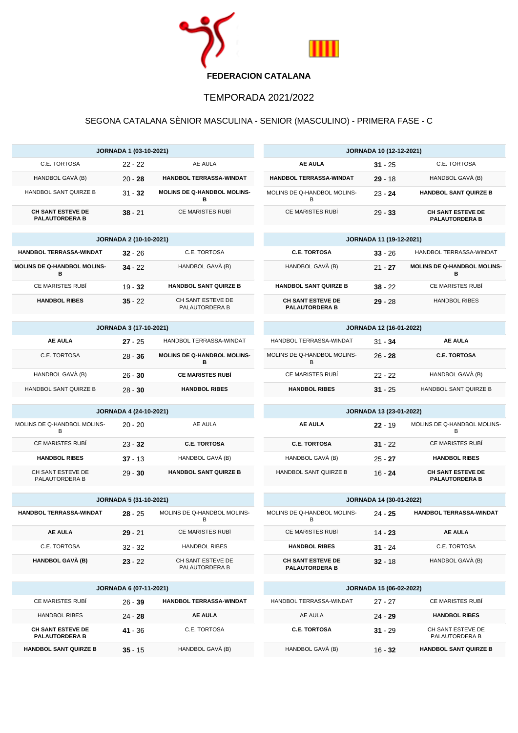

## TEMPORADA 2021/2022

## SEGONA CATALANA SÈNIOR MASCULINA - SENIOR (MASCULINO) - PRIMERA FASE - C

| <b>JORNADA 1 (03-10-2021)</b>                         |                                            |                                         | <b>JORNADA 10 (12-12-2021)</b>                    |                                             |                                                   |
|-------------------------------------------------------|--------------------------------------------|-----------------------------------------|---------------------------------------------------|---------------------------------------------|---------------------------------------------------|
| C.E. TORTOSA                                          | $22 - 22$                                  | AE AULA                                 | <b>AE AULA</b>                                    | $31 - 25$                                   | C.E. TORTOSA                                      |
| HANDBOL GAVÀ (B)                                      | $20 - 28$                                  | <b>HANDBOL TERRASSA-WINDAT</b>          | <b>HANDBOL TERRASSA-WINDAT</b>                    | $29 - 18$                                   | HANDBOL GAVÀ (B)                                  |
| HANDBOL SANT QUIRZE B                                 | $31 - 32$                                  | <b>MOLINS DE Q-HANDBOL MOLINS-</b><br>в | MOLINS DE Q-HANDBOL MOLINS-<br>В                  | $23 - 24$                                   | <b>HANDBOL SANT QUIRZE B</b>                      |
| <b>CH SANT ESTEVE DE</b><br><b>PALAUTORDERA B</b>     | $38 - 21$                                  | <b>CE MARISTES RUBÍ</b>                 | <b>CE MARISTES RUBI</b>                           | $29 - 33$                                   | <b>CH SANT ESTEVE DE</b><br><b>PALAUTORDERA B</b> |
| <b>JORNADA 2 (10-10-2021)</b>                         |                                            | <b>JORNADA 11 (19-12-2021)</b>          |                                                   |                                             |                                                   |
| <b>HANDBOL TERRASSA-WINDAT</b>                        | $32 - 26$                                  | C.E. TORTOSA                            | <b>C.E. TORTOSA</b>                               | HANDBOL TERRASSA-WINDAT<br>$33 - 26$        |                                                   |
| <b>MOLINS DE Q-HANDBOL MOLINS-</b><br>в               | $34 - 22$                                  | HANDBOL GAVÀ (B)                        | HANDBOL GAVÀ (B)                                  | $21 - 27$                                   | MOLINS DE Q-HANDBOL MOLINS-<br>в                  |
| <b>CE MARISTES RUBÍ</b>                               | $19 - 32$                                  | <b>HANDBOL SANT QUIRZE B</b>            | <b>HANDBOL SANT QUIRZE B</b>                      | $38 - 22$                                   | <b>CE MARISTES RUBÍ</b>                           |
| <b>HANDBOL RIBES</b>                                  | $35 - 22$                                  | CH SANT ESTEVE DE<br>PALAUTORDERA B     | <b>CH SANT ESTEVE DE</b><br><b>PALAUTORDERA B</b> | $29 - 28$                                   | <b>HANDBOL RIBES</b>                              |
| <b>JORNADA 3 (17-10-2021)</b>                         |                                            | <b>JORNADA 12 (16-01-2022)</b>          |                                                   |                                             |                                                   |
| <b>AE AULA</b>                                        | $27 - 25$                                  | HANDBOL TERRASSA-WINDAT                 | HANDBOL TERRASSA-WINDAT                           | $31 - 34$                                   | <b>AE AULA</b>                                    |
| C.E. TORTOSA                                          | $28 - 36$                                  | MOLINS DE Q-HANDBOL MOLINS-<br>в        | MOLINS DE Q-HANDBOL MOLINS-<br>B                  | $26 - 28$                                   | <b>C.E. TORTOSA</b>                               |
| HANDBOL GAVÀ (B)                                      | $26 - 30$                                  | <b>CE MARISTES RUBÍ</b>                 | <b>CE MARISTES RUBÍ</b>                           | $22 - 22$                                   | HANDBOL GAVÀ (B)                                  |
| HANDBOL SANT QUIRZE B                                 | $28 - 30$                                  | <b>HANDBOL RIBES</b>                    | <b>HANDBOL RIBES</b>                              | $31 - 25$                                   | HANDBOL SANT QUIRZE B                             |
| <b>JORNADA 4 (24-10-2021)</b>                         |                                            |                                         |                                                   |                                             |                                                   |
|                                                       |                                            |                                         |                                                   | JORNADA 13 (23-01-2022)                     |                                                   |
| MOLINS DE Q-HANDBOL MOLINS-<br>B                      | $20 - 20$                                  | AE AULA                                 | <b>AE AULA</b>                                    | $22 - 19$                                   | MOLINS DE Q-HANDBOL MOLINS-<br>B                  |
| CE MARISTES RUBÍ                                      | $23 - 32$                                  | <b>C.E. TORTOSA</b>                     | <b>C.E. TORTOSA</b>                               | $31 - 22$                                   | CE MARISTES RUBÍ                                  |
| <b>HANDBOL RIBES</b>                                  | $37 - 13$                                  | HANDBOL GAVÀ (B)                        | HANDBOL GAVÀ (B)                                  | $25 - 27$                                   | <b>HANDBOL RIBES</b>                              |
| CH SANT ESTEVE DE<br>PALAUTORDERA B                   | $29 - 30$                                  | <b>HANDBOL SANT QUIRZE B</b>            | HANDBOL SANT QUIRZE B                             | $16 - 24$                                   | <b>CH SANT ESTEVE DE</b><br><b>PALAUTORDERA B</b> |
|                                                       |                                            |                                         |                                                   |                                             |                                                   |
| HANDBOL TERRASSA-WINDAT                               | <b>JORNADA 5 (31-10-2021)</b><br>$28 - 25$ | MOLINS DE Q-HANDBOL MOLINS-<br>B        | MOLINS DE Q-HANDBOL MOLINS-<br>В                  | <b>JORNADA 14 (30-01-2022)</b><br>$24 - 25$ | HANDBOL TERRASSA-WINDAT                           |
| <b>AE AULA</b>                                        | $29 - 21$                                  | <b>CE MARISTES RUBI</b>                 | <b>CE MARISTES RUBÍ</b>                           | $14 - 23$                                   | <b>AE AULA</b>                                    |
| C.E. TORTOSA                                          | $32 - 32$                                  | <b>HANDBOL RIBES</b>                    | <b>HANDBOL RIBES</b>                              | $31 - 24$                                   | C.E. TORTOSA                                      |
| <b>HANDBOL GAVÀ (B)</b>                               | $23 - 22$                                  | CH SANT ESTEVE DE<br>PALAUTORDERA B     | <b>CH SANT ESTEVE DE</b><br><b>PALAUTORDERA B</b> | $32 - 18$                                   | HANDBOL GAVÀ (B)                                  |
|                                                       |                                            |                                         |                                                   |                                             |                                                   |
| CE MARISTES RUBÍ                                      | <b>JORNADA 6 (07-11-2021)</b>              | HANDBOL TERRASSA-WINDAT                 | HANDBOL TERRASSA-WINDAT                           | JORNADA 15 (06-02-2022)                     | <b>CE MARISTES RUBI</b>                           |
| <b>HANDBOL RIBES</b>                                  | $26 - 39$                                  | <b>AE AULA</b>                          | AE AULA                                           | 27 - 27                                     | <b>HANDBOL RIBES</b>                              |
| <b>CH SANT ESTEVE DE</b>                              | $24 - 28$<br>41 - 36                       | C.E. TORTOSA                            | <b>C.E. TORTOSA</b>                               | 24 - 29<br>$31 - 29$                        | CH SANT ESTEVE DE                                 |
| <b>PALAUTORDERA B</b><br><b>HANDBOL SANT QUIRZE B</b> | $35 - 15$                                  | HANDBOL GAVÀ (B)                        | HANDBOL GAVÀ (B)                                  | $16 - 32$                                   | PALAUTORDERA B<br><b>HANDBOL SANT QUIRZE B</b>    |